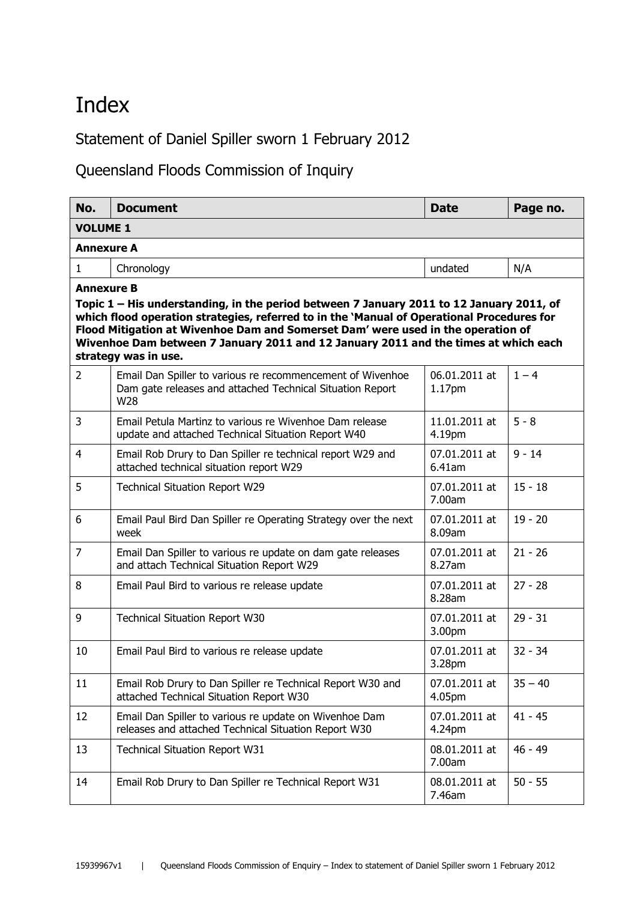## Index

## Statement of Daniel Spiller sworn 1 February 2012

## Queensland Floods Commission of Inquiry

| No.                                                                                                                                                                                                                                                                                                                                                                                                            | <b>Document</b>                                                                                                                | <b>Date</b>                           | Page no.  |  |
|----------------------------------------------------------------------------------------------------------------------------------------------------------------------------------------------------------------------------------------------------------------------------------------------------------------------------------------------------------------------------------------------------------------|--------------------------------------------------------------------------------------------------------------------------------|---------------------------------------|-----------|--|
| <b>VOLUME 1</b>                                                                                                                                                                                                                                                                                                                                                                                                |                                                                                                                                |                                       |           |  |
| <b>Annexure A</b>                                                                                                                                                                                                                                                                                                                                                                                              |                                                                                                                                |                                       |           |  |
| $\mathbf{1}$                                                                                                                                                                                                                                                                                                                                                                                                   | Chronology                                                                                                                     | undated                               | N/A       |  |
| <b>Annexure B</b><br>Topic 1 – His understanding, in the period between 7 January 2011 to 12 January 2011, of<br>which flood operation strategies, referred to in the 'Manual of Operational Procedures for<br>Flood Mitigation at Wivenhoe Dam and Somerset Dam' were used in the operation of<br>Wivenhoe Dam between 7 January 2011 and 12 January 2011 and the times at which each<br>strategy was in use. |                                                                                                                                |                                       |           |  |
| $\overline{2}$                                                                                                                                                                                                                                                                                                                                                                                                 | Email Dan Spiller to various re recommencement of Wivenhoe<br>Dam gate releases and attached Technical Situation Report<br>W28 | $06.01.2011$ at<br>1.17 <sub>pm</sub> | $1 - 4$   |  |
| 3                                                                                                                                                                                                                                                                                                                                                                                                              | Email Petula Martinz to various re Wivenhoe Dam release<br>update and attached Technical Situation Report W40                  | 11.01.2011 at<br>4.19pm               | $5 - 8$   |  |
| 4                                                                                                                                                                                                                                                                                                                                                                                                              | Email Rob Drury to Dan Spiller re technical report W29 and<br>attached technical situation report W29                          | 07.01.2011 at<br>6.41am               | $9 - 14$  |  |
| 5                                                                                                                                                                                                                                                                                                                                                                                                              | <b>Technical Situation Report W29</b>                                                                                          | 07.01.2011 at<br>7.00am               | $15 - 18$ |  |
| 6                                                                                                                                                                                                                                                                                                                                                                                                              | Email Paul Bird Dan Spiller re Operating Strategy over the next<br>week                                                        | 07.01.2011 at<br>8.09am               | $19 - 20$ |  |
| $\overline{7}$                                                                                                                                                                                                                                                                                                                                                                                                 | Email Dan Spiller to various re update on dam gate releases<br>and attach Technical Situation Report W29                       | 07.01.2011 at<br>8.27am               | $21 - 26$ |  |
| 8                                                                                                                                                                                                                                                                                                                                                                                                              | Email Paul Bird to various re release update                                                                                   | 07.01.2011 at<br>8.28am               | $27 - 28$ |  |
| 9                                                                                                                                                                                                                                                                                                                                                                                                              | <b>Technical Situation Report W30</b>                                                                                          | 07.01.2011 at<br>3.00pm               | $29 - 31$ |  |
| 10                                                                                                                                                                                                                                                                                                                                                                                                             | Email Paul Bird to various re release update                                                                                   | 07.01.2011 at<br>3.28pm               | $32 - 34$ |  |
| 11                                                                                                                                                                                                                                                                                                                                                                                                             | Email Rob Drury to Dan Spiller re Technical Report W30 and<br>attached Technical Situation Report W30                          | 07.01.2011 at<br>4.05pm               | $35 - 40$ |  |
| 12                                                                                                                                                                                                                                                                                                                                                                                                             | Email Dan Spiller to various re update on Wivenhoe Dam<br>releases and attached Technical Situation Report W30                 | 07.01.2011 at<br>4.24pm               | $41 - 45$ |  |
| 13                                                                                                                                                                                                                                                                                                                                                                                                             | <b>Technical Situation Report W31</b>                                                                                          | 08.01.2011 at<br>7.00am               | $46 - 49$ |  |
| 14                                                                                                                                                                                                                                                                                                                                                                                                             | Email Rob Drury to Dan Spiller re Technical Report W31                                                                         | 08.01.2011 at<br>7.46am               | $50 - 55$ |  |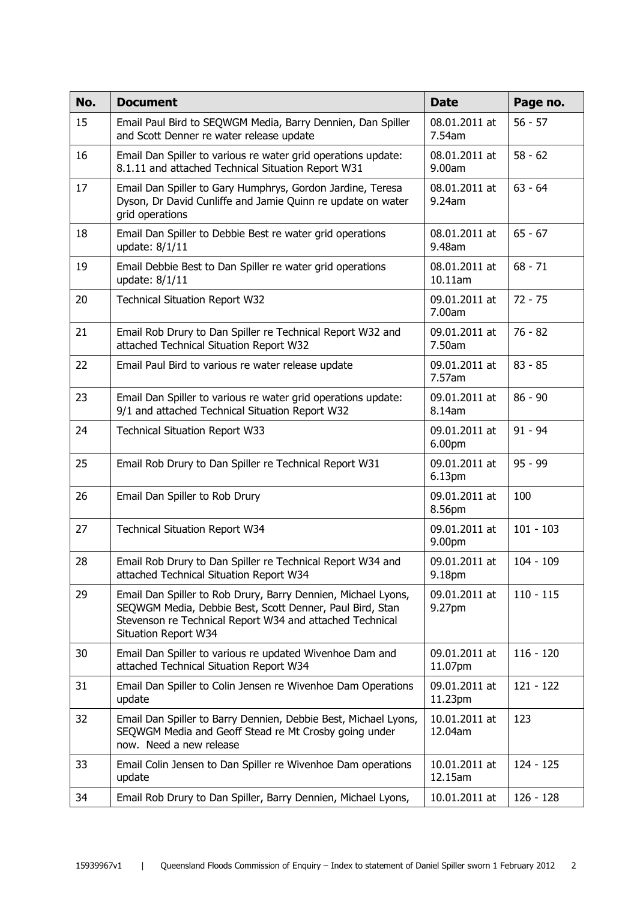| No. | <b>Document</b>                                                                                                                                                                                                      | <b>Date</b>                         | Page no.    |
|-----|----------------------------------------------------------------------------------------------------------------------------------------------------------------------------------------------------------------------|-------------------------------------|-------------|
| 15  | Email Paul Bird to SEQWGM Media, Barry Dennien, Dan Spiller<br>and Scott Denner re water release update                                                                                                              | 08.01.2011 at<br>7.54am             | $56 - 57$   |
| 16  | Email Dan Spiller to various re water grid operations update:<br>8.1.11 and attached Technical Situation Report W31                                                                                                  | 08.01.2011 at<br>9.00am             | $58 - 62$   |
| 17  | Email Dan Spiller to Gary Humphrys, Gordon Jardine, Teresa<br>Dyson, Dr David Cunliffe and Jamie Quinn re update on water<br>grid operations                                                                         | 08.01.2011 at<br>9.24am             | $63 - 64$   |
| 18  | Email Dan Spiller to Debbie Best re water grid operations<br>update: 8/1/11                                                                                                                                          | 08.01.2011 at<br>9.48am             | $65 - 67$   |
| 19  | Email Debbie Best to Dan Spiller re water grid operations<br>update: 8/1/11                                                                                                                                          | 08.01.2011 at<br>10.11am            | $68 - 71$   |
| 20  | <b>Technical Situation Report W32</b>                                                                                                                                                                                | 09.01.2011 at<br>7.00am             | $72 - 75$   |
| 21  | Email Rob Drury to Dan Spiller re Technical Report W32 and<br>attached Technical Situation Report W32                                                                                                                | 09.01.2011 at<br>7.50am             | $76 - 82$   |
| 22  | Email Paul Bird to various re water release update                                                                                                                                                                   | 09.01.2011 at<br>7.57am             | $83 - 85$   |
| 23  | Email Dan Spiller to various re water grid operations update:<br>9/1 and attached Technical Situation Report W32                                                                                                     | 09.01.2011 at<br>8.14am             | $86 - 90$   |
| 24  | <b>Technical Situation Report W33</b>                                                                                                                                                                                | 09.01.2011 at<br>6.00pm             | $91 - 94$   |
| 25  | Email Rob Drury to Dan Spiller re Technical Report W31                                                                                                                                                               | 09.01.2011 at<br>6.13 <sub>pm</sub> | $95 - 99$   |
| 26  | Email Dan Spiller to Rob Drury                                                                                                                                                                                       | 09.01.2011 at<br>8.56pm             | 100         |
| 27  | <b>Technical Situation Report W34</b>                                                                                                                                                                                | 09.01.2011 at<br>9.00pm             | $101 - 103$ |
| 28  | Email Rob Drury to Dan Spiller re Technical Report W34 and<br>attached Technical Situation Report W34                                                                                                                | 09.01.2011 at<br>9.18pm             | $104 - 109$ |
| 29  | Email Dan Spiller to Rob Drury, Barry Dennien, Michael Lyons,<br>SEQWGM Media, Debbie Best, Scott Denner, Paul Bird, Stan<br>Stevenson re Technical Report W34 and attached Technical<br><b>Situation Report W34</b> | 09.01.2011 at<br>9.27pm             | $110 - 115$ |
| 30  | Email Dan Spiller to various re updated Wivenhoe Dam and<br>attached Technical Situation Report W34                                                                                                                  | 09.01.2011 at<br>11.07pm            | $116 - 120$ |
| 31  | Email Dan Spiller to Colin Jensen re Wivenhoe Dam Operations<br>update                                                                                                                                               | 09.01.2011 at<br>11.23pm            | $121 - 122$ |
| 32  | Email Dan Spiller to Barry Dennien, Debbie Best, Michael Lyons,<br>SEQWGM Media and Geoff Stead re Mt Crosby going under<br>now. Need a new release                                                                  | 10.01.2011 at<br>12.04am            | 123         |
| 33  | Email Colin Jensen to Dan Spiller re Wivenhoe Dam operations<br>update                                                                                                                                               | 10.01.2011 at<br>12.15am            | $124 - 125$ |
| 34  | Email Rob Drury to Dan Spiller, Barry Dennien, Michael Lyons,                                                                                                                                                        | 10.01.2011 at                       | 126 - 128   |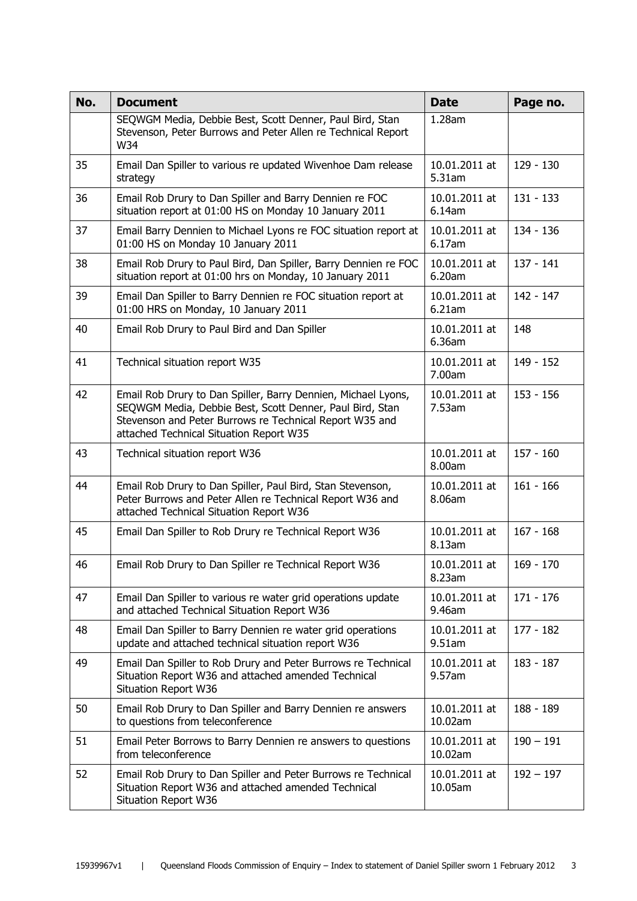| No. | <b>Document</b>                                                                                                                                                                                                                 | <b>Date</b>              | Page no.    |
|-----|---------------------------------------------------------------------------------------------------------------------------------------------------------------------------------------------------------------------------------|--------------------------|-------------|
|     | SEQWGM Media, Debbie Best, Scott Denner, Paul Bird, Stan<br>Stevenson, Peter Burrows and Peter Allen re Technical Report<br>W34                                                                                                 | 1.28am                   |             |
| 35  | Email Dan Spiller to various re updated Wivenhoe Dam release<br>strategy                                                                                                                                                        | 10.01.2011 at<br>5.31am  | $129 - 130$ |
| 36  | Email Rob Drury to Dan Spiller and Barry Dennien re FOC<br>situation report at 01:00 HS on Monday 10 January 2011                                                                                                               | 10.01.2011 at<br>6.14am  | $131 - 133$ |
| 37  | Email Barry Dennien to Michael Lyons re FOC situation report at<br>01:00 HS on Monday 10 January 2011                                                                                                                           | 10.01.2011 at<br>6.17am  | 134 - 136   |
| 38  | Email Rob Drury to Paul Bird, Dan Spiller, Barry Dennien re FOC<br>situation report at 01:00 hrs on Monday, 10 January 2011                                                                                                     | 10.01.2011 at<br>6.20am  | $137 - 141$ |
| 39  | Email Dan Spiller to Barry Dennien re FOC situation report at<br>01:00 HRS on Monday, 10 January 2011                                                                                                                           | 10.01.2011 at<br>6.21am  | $142 - 147$ |
| 40  | Email Rob Drury to Paul Bird and Dan Spiller                                                                                                                                                                                    | 10.01.2011 at<br>6.36am  | 148         |
| 41  | Technical situation report W35                                                                                                                                                                                                  | 10.01.2011 at<br>7.00am  | 149 - 152   |
| 42  | Email Rob Drury to Dan Spiller, Barry Dennien, Michael Lyons,<br>SEQWGM Media, Debbie Best, Scott Denner, Paul Bird, Stan<br>Stevenson and Peter Burrows re Technical Report W35 and<br>attached Technical Situation Report W35 | 10.01.2011 at<br>7.53am  | $153 - 156$ |
| 43  | Technical situation report W36                                                                                                                                                                                                  | 10.01.2011 at<br>8.00am  | $157 - 160$ |
| 44  | Email Rob Drury to Dan Spiller, Paul Bird, Stan Stevenson,<br>Peter Burrows and Peter Allen re Technical Report W36 and<br>attached Technical Situation Report W36                                                              | 10.01.2011 at<br>8.06am  | $161 - 166$ |
| 45  | Email Dan Spiller to Rob Drury re Technical Report W36                                                                                                                                                                          | 10.01.2011 at<br>8.13am  | $167 - 168$ |
| 46  | Email Rob Drury to Dan Spiller re Technical Report W36                                                                                                                                                                          | 10.01.2011 at<br>8.23am  | $169 - 170$ |
| 47  | Email Dan Spiller to various re water grid operations update<br>and attached Technical Situation Report W36                                                                                                                     | 10.01.2011 at<br>9.46am  | $171 - 176$ |
| 48  | Email Dan Spiller to Barry Dennien re water grid operations<br>update and attached technical situation report W36                                                                                                               | 10.01.2011 at<br>9.51am  | $177 - 182$ |
| 49  | Email Dan Spiller to Rob Drury and Peter Burrows re Technical<br>Situation Report W36 and attached amended Technical<br><b>Situation Report W36</b>                                                                             | 10.01.2011 at<br>9.57am  | $183 - 187$ |
| 50  | Email Rob Drury to Dan Spiller and Barry Dennien re answers<br>to questions from teleconference                                                                                                                                 | 10.01.2011 at<br>10.02am | 188 - 189   |
| 51  | Email Peter Borrows to Barry Dennien re answers to questions<br>from teleconference                                                                                                                                             | 10.01.2011 at<br>10.02am | $190 - 191$ |
| 52  | Email Rob Drury to Dan Spiller and Peter Burrows re Technical<br>Situation Report W36 and attached amended Technical<br>Situation Report W36                                                                                    | 10.01.2011 at<br>10.05am | $192 - 197$ |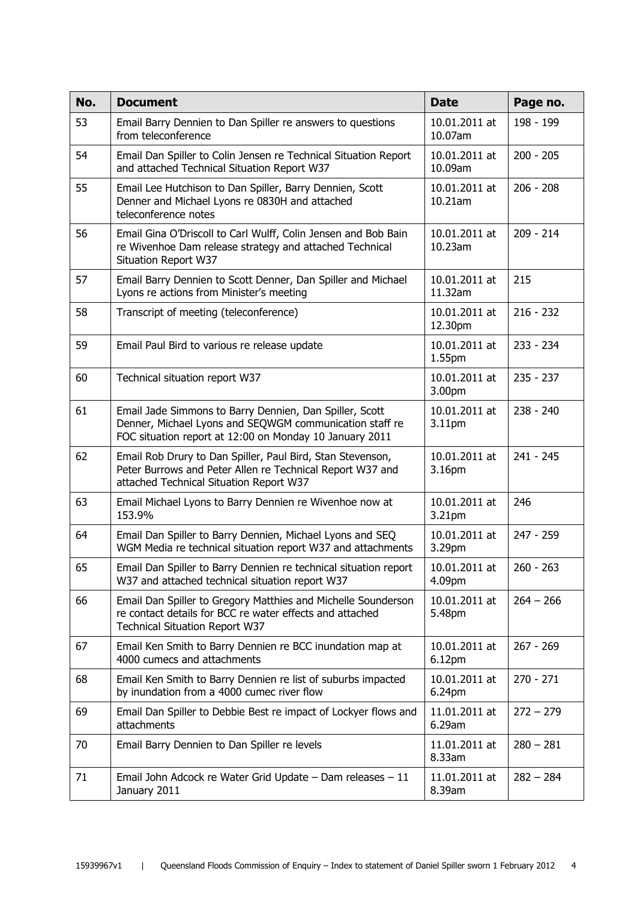| No. | <b>Document</b>                                                                                                                                                               | <b>Date</b>                         | Page no.    |
|-----|-------------------------------------------------------------------------------------------------------------------------------------------------------------------------------|-------------------------------------|-------------|
| 53  | Email Barry Dennien to Dan Spiller re answers to questions<br>from teleconference                                                                                             | 10.01.2011 at<br>10.07am            | 198 - 199   |
| 54  | Email Dan Spiller to Colin Jensen re Technical Situation Report<br>and attached Technical Situation Report W37                                                                | 10.01.2011 at<br>10.09am            | $200 - 205$ |
| 55  | Email Lee Hutchison to Dan Spiller, Barry Dennien, Scott<br>Denner and Michael Lyons re 0830H and attached<br>teleconference notes                                            | 10.01.2011 at<br>10.21am            | $206 - 208$ |
| 56  | Email Gina O'Driscoll to Carl Wulff, Colin Jensen and Bob Bain<br>re Wivenhoe Dam release strategy and attached Technical<br>Situation Report W37                             | 10.01.2011 at<br>10.23am            | $209 - 214$ |
| 57  | Email Barry Dennien to Scott Denner, Dan Spiller and Michael<br>Lyons re actions from Minister's meeting                                                                      | 10.01.2011 at<br>11.32am            | 215         |
| 58  | Transcript of meeting (teleconference)                                                                                                                                        | 10.01.2011 at<br>12.30pm            | $216 - 232$ |
| 59  | Email Paul Bird to various re release update                                                                                                                                  | 10.01.2011 at<br>1.55pm             | $233 - 234$ |
| 60  | Technical situation report W37                                                                                                                                                | 10.01.2011 at<br>3.00pm             | $235 - 237$ |
| 61  | Email Jade Simmons to Barry Dennien, Dan Spiller, Scott<br>Denner, Michael Lyons and SEQWGM communication staff re<br>FOC situation report at 12:00 on Monday 10 January 2011 | 10.01.2011 at<br>3.11pm             | $238 - 240$ |
| 62  | Email Rob Drury to Dan Spiller, Paul Bird, Stan Stevenson,<br>Peter Burrows and Peter Allen re Technical Report W37 and<br>attached Technical Situation Report W37            | 10.01.2011 at<br>3.16pm             | $241 - 245$ |
| 63  | Email Michael Lyons to Barry Dennien re Wivenhoe now at<br>153.9%                                                                                                             | 10.01.2011 at<br>3.21pm             | 246         |
| 64  | Email Dan Spiller to Barry Dennien, Michael Lyons and SEQ<br>WGM Media re technical situation report W37 and attachments                                                      | 10.01.2011 at<br>3.29pm             | $247 - 259$ |
| 65  | Email Dan Spiller to Barry Dennien re technical situation report<br>W37 and attached technical situation report W37                                                           | 10.01.2011 at<br>4.09pm             | $260 - 263$ |
| 66  | Email Dan Spiller to Gregory Matthies and Michelle Sounderson<br>re contact details for BCC re water effects and attached<br><b>Technical Situation Report W37</b>            | 10.01.2011 at<br>5.48pm             | $264 - 266$ |
| 67  | Email Ken Smith to Barry Dennien re BCC inundation map at<br>4000 cumecs and attachments                                                                                      | 10.01.2011 at<br>6.12pm             | $267 - 269$ |
| 68  | Email Ken Smith to Barry Dennien re list of suburbs impacted<br>by inundation from a 4000 cumec river flow                                                                    | 10.01.2011 at<br>6.24 <sub>pm</sub> | $270 - 271$ |
| 69  | Email Dan Spiller to Debbie Best re impact of Lockyer flows and<br>attachments                                                                                                | 11.01.2011 at<br>6.29am             | $272 - 279$ |
| 70  | Email Barry Dennien to Dan Spiller re levels                                                                                                                                  | 11.01.2011 at<br>8.33am             | $280 - 281$ |
| 71  | Email John Adcock re Water Grid Update - Dam releases - 11<br>January 2011                                                                                                    | 11.01.2011 at<br>8.39am             | $282 - 284$ |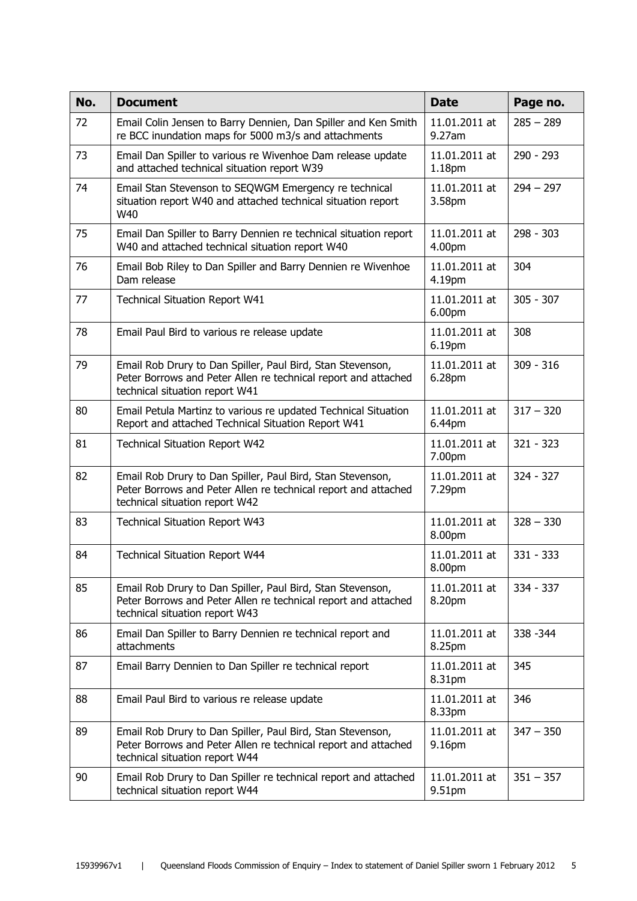| No. | <b>Document</b>                                                                                                                                                | <b>Date</b>             | Page no.    |
|-----|----------------------------------------------------------------------------------------------------------------------------------------------------------------|-------------------------|-------------|
| 72  | Email Colin Jensen to Barry Dennien, Dan Spiller and Ken Smith<br>re BCC inundation maps for 5000 m3/s and attachments                                         | 11.01.2011 at<br>9.27am | $285 - 289$ |
| 73  | Email Dan Spiller to various re Wivenhoe Dam release update<br>and attached technical situation report W39                                                     | 11.01.2011 at<br>1.18pm | 290 - 293   |
| 74  | Email Stan Stevenson to SEQWGM Emergency re technical<br>situation report W40 and attached technical situation report<br>W40                                   | 11.01.2011 at<br>3.58pm | $294 - 297$ |
| 75  | Email Dan Spiller to Barry Dennien re technical situation report<br>W40 and attached technical situation report W40                                            | 11.01.2011 at<br>4.00pm | $298 - 303$ |
| 76  | Email Bob Riley to Dan Spiller and Barry Dennien re Wivenhoe<br>Dam release                                                                                    | 11.01.2011 at<br>4.19pm | 304         |
| 77  | <b>Technical Situation Report W41</b>                                                                                                                          | 11.01.2011 at<br>6.00pm | $305 - 307$ |
| 78  | Email Paul Bird to various re release update                                                                                                                   | 11.01.2011 at<br>6.19pm | 308         |
| 79  | Email Rob Drury to Dan Spiller, Paul Bird, Stan Stevenson,<br>Peter Borrows and Peter Allen re technical report and attached<br>technical situation report W41 | 11.01.2011 at<br>6.28pm | $309 - 316$ |
| 80  | Email Petula Martinz to various re updated Technical Situation<br>Report and attached Technical Situation Report W41                                           | 11.01.2011 at<br>6.44pm | $317 - 320$ |
| 81  | <b>Technical Situation Report W42</b>                                                                                                                          | 11.01.2011 at<br>7.00pm | $321 - 323$ |
| 82  | Email Rob Drury to Dan Spiller, Paul Bird, Stan Stevenson,<br>Peter Borrows and Peter Allen re technical report and attached<br>technical situation report W42 | 11.01.2011 at<br>7.29pm | $324 - 327$ |
| 83  | <b>Technical Situation Report W43</b>                                                                                                                          | 11.01.2011 at<br>8.00pm | $328 - 330$ |
| 84  | <b>Technical Situation Report W44</b>                                                                                                                          | 11.01.2011 at<br>8.00pm | $331 - 333$ |
| 85  | Email Rob Drury to Dan Spiller, Paul Bird, Stan Stevenson,<br>Peter Borrows and Peter Allen re technical report and attached<br>technical situation report W43 | 11.01.2011 at<br>8.20pm | 334 - 337   |
| 86  | Email Dan Spiller to Barry Dennien re technical report and<br>attachments                                                                                      | 11.01.2011 at<br>8.25pm | 338 - 344   |
| 87  | Email Barry Dennien to Dan Spiller re technical report                                                                                                         | 11.01.2011 at<br>8.31pm | 345         |
| 88  | Email Paul Bird to various re release update                                                                                                                   | 11.01.2011 at<br>8.33pm | 346         |
| 89  | Email Rob Drury to Dan Spiller, Paul Bird, Stan Stevenson,<br>Peter Borrows and Peter Allen re technical report and attached<br>technical situation report W44 | 11.01.2011 at<br>9.16pm | $347 - 350$ |
| 90  | Email Rob Drury to Dan Spiller re technical report and attached<br>technical situation report W44                                                              | 11.01.2011 at<br>9.51pm | $351 - 357$ |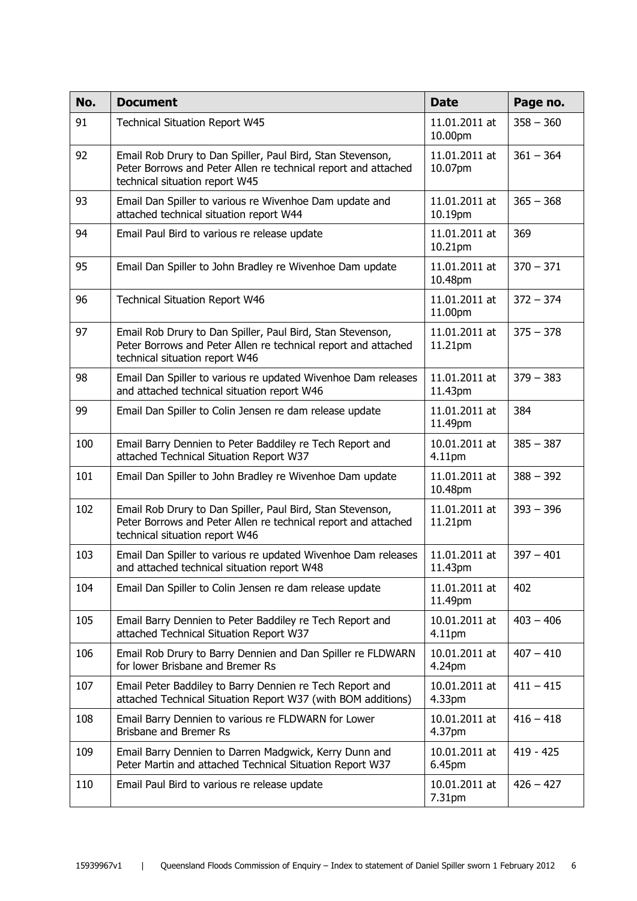| No. | <b>Document</b>                                                                                                                                                | <b>Date</b>              | Page no.    |
|-----|----------------------------------------------------------------------------------------------------------------------------------------------------------------|--------------------------|-------------|
| 91  | <b>Technical Situation Report W45</b>                                                                                                                          | 11.01.2011 at<br>10.00pm | $358 - 360$ |
| 92  | Email Rob Drury to Dan Spiller, Paul Bird, Stan Stevenson,<br>Peter Borrows and Peter Allen re technical report and attached<br>technical situation report W45 | 11.01.2011 at<br>10.07pm | $361 - 364$ |
| 93  | Email Dan Spiller to various re Wivenhoe Dam update and<br>attached technical situation report W44                                                             | 11.01.2011 at<br>10.19pm | $365 - 368$ |
| 94  | Email Paul Bird to various re release update                                                                                                                   | 11.01.2011 at<br>10.21pm | 369         |
| 95  | Email Dan Spiller to John Bradley re Wivenhoe Dam update                                                                                                       | 11.01.2011 at<br>10.48pm | $370 - 371$ |
| 96  | <b>Technical Situation Report W46</b>                                                                                                                          | 11.01.2011 at<br>11.00pm | $372 - 374$ |
| 97  | Email Rob Drury to Dan Spiller, Paul Bird, Stan Stevenson,<br>Peter Borrows and Peter Allen re technical report and attached<br>technical situation report W46 | 11.01.2011 at<br>11.21pm | $375 - 378$ |
| 98  | Email Dan Spiller to various re updated Wivenhoe Dam releases<br>and attached technical situation report W46                                                   | 11.01.2011 at<br>11.43pm | $379 - 383$ |
| 99  | Email Dan Spiller to Colin Jensen re dam release update                                                                                                        | 11.01.2011 at<br>11.49pm | 384         |
| 100 | Email Barry Dennien to Peter Baddiley re Tech Report and<br>attached Technical Situation Report W37                                                            | 10.01.2011 at<br>4.11pm  | $385 - 387$ |
| 101 | Email Dan Spiller to John Bradley re Wivenhoe Dam update                                                                                                       | 11.01.2011 at<br>10.48pm | $388 - 392$ |
| 102 | Email Rob Drury to Dan Spiller, Paul Bird, Stan Stevenson,<br>Peter Borrows and Peter Allen re technical report and attached<br>technical situation report W46 | 11.01.2011 at<br>11.21pm | $393 - 396$ |
| 103 | Email Dan Spiller to various re updated Wivenhoe Dam releases<br>and attached technical situation report W48                                                   | 11.01.2011 at<br>11.43pm | $397 - 401$ |
| 104 | Email Dan Spiller to Colin Jensen re dam release update                                                                                                        | 11.01.2011 at<br>11.49pm | 402         |
| 105 | Email Barry Dennien to Peter Baddiley re Tech Report and<br>attached Technical Situation Report W37                                                            | 10.01.2011 at<br>4.11pm  | $403 - 406$ |
| 106 | Email Rob Drury to Barry Dennien and Dan Spiller re FLDWARN<br>for lower Brisbane and Bremer Rs                                                                | 10.01.2011 at<br>4.24pm  | $407 - 410$ |
| 107 | Email Peter Baddiley to Barry Dennien re Tech Report and<br>attached Technical Situation Report W37 (with BOM additions)                                       | 10.01.2011 at<br>4.33pm  | $411 - 415$ |
| 108 | Email Barry Dennien to various re FLDWARN for Lower<br>Brisbane and Bremer Rs                                                                                  | 10.01.2011 at<br>4.37pm  | $416 - 418$ |
| 109 | Email Barry Dennien to Darren Madgwick, Kerry Dunn and<br>Peter Martin and attached Technical Situation Report W37                                             | 10.01.2011 at<br>6.45pm  | $419 - 425$ |
| 110 | Email Paul Bird to various re release update                                                                                                                   | 10.01.2011 at<br>7.31pm  | $426 - 427$ |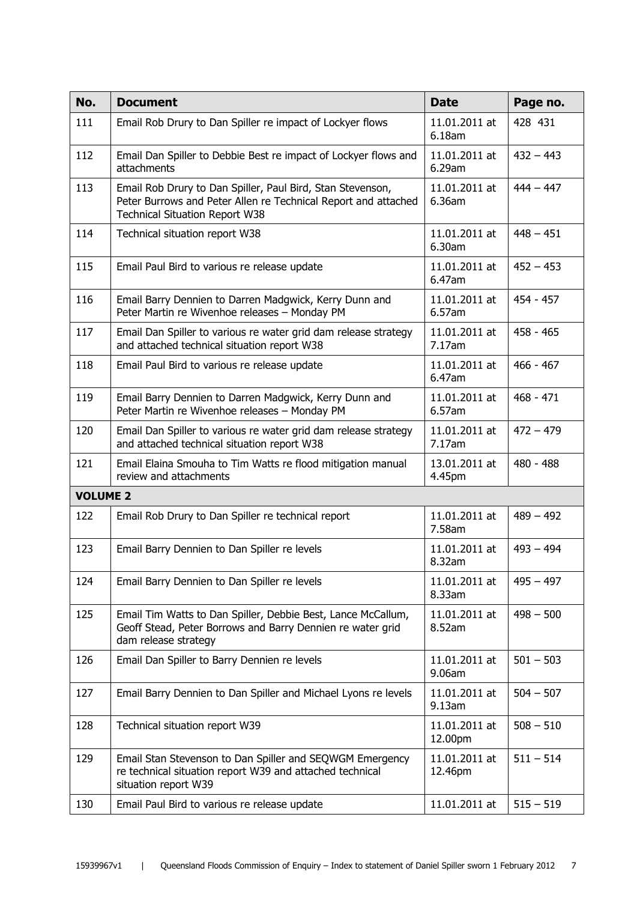| No.             | <b>Document</b>                                                                                                                                                       | <b>Date</b>              | Page no.    |
|-----------------|-----------------------------------------------------------------------------------------------------------------------------------------------------------------------|--------------------------|-------------|
| 111             | Email Rob Drury to Dan Spiller re impact of Lockyer flows                                                                                                             | 11.01.2011 at<br>6.18am  | 428 431     |
| 112             | Email Dan Spiller to Debbie Best re impact of Lockyer flows and<br>attachments                                                                                        | 11.01.2011 at<br>6.29am  | $432 - 443$ |
| 113             | Email Rob Drury to Dan Spiller, Paul Bird, Stan Stevenson,<br>Peter Burrows and Peter Allen re Technical Report and attached<br><b>Technical Situation Report W38</b> | 11.01.2011 at<br>6.36am  | $444 - 447$ |
| 114             | Technical situation report W38                                                                                                                                        | 11.01.2011 at<br>6.30am  | $448 - 451$ |
| 115             | Email Paul Bird to various re release update                                                                                                                          | 11.01.2011 at<br>6.47am  | $452 - 453$ |
| 116             | Email Barry Dennien to Darren Madgwick, Kerry Dunn and<br>Peter Martin re Wivenhoe releases - Monday PM                                                               | 11.01.2011 at<br>6.57am  | 454 - 457   |
| 117             | Email Dan Spiller to various re water grid dam release strategy<br>and attached technical situation report W38                                                        | 11.01.2011 at<br>7.17am  | $458 - 465$ |
| 118             | Email Paul Bird to various re release update                                                                                                                          | 11.01.2011 at<br>6.47am  | $466 - 467$ |
| 119             | Email Barry Dennien to Darren Madgwick, Kerry Dunn and<br>Peter Martin re Wivenhoe releases - Monday PM                                                               | 11.01.2011 at<br>6.57am  | $468 - 471$ |
| 120             | Email Dan Spiller to various re water grid dam release strategy<br>and attached technical situation report W38                                                        | 11.01.2011 at<br>7.17am  | $472 - 479$ |
| 121             | Email Elaina Smouha to Tim Watts re flood mitigation manual<br>review and attachments                                                                                 | 13.01.2011 at<br>4.45pm  | $480 - 488$ |
| <b>VOLUME 2</b> |                                                                                                                                                                       |                          |             |
| 122             | Email Rob Drury to Dan Spiller re technical report                                                                                                                    | 11.01.2011 at<br>7.58am  | $489 - 492$ |
| 123             | Email Barry Dennien to Dan Spiller re levels                                                                                                                          | 11.01.2011 at<br>8.32am  | $493 - 494$ |
| 124             | Email Barry Dennien to Dan Spiller re levels                                                                                                                          | 11.01.2011 at<br>8.33am  | $495 - 497$ |
| 125             | Email Tim Watts to Dan Spiller, Debbie Best, Lance McCallum,<br>Geoff Stead, Peter Borrows and Barry Dennien re water grid<br>dam release strategy                    | 11.01.2011 at<br>8.52am  | $498 - 500$ |
| 126             | Email Dan Spiller to Barry Dennien re levels                                                                                                                          | 11.01.2011 at<br>9.06am  | $501 - 503$ |
| 127             | Email Barry Dennien to Dan Spiller and Michael Lyons re levels                                                                                                        | 11.01.2011 at<br>9.13am  | $504 - 507$ |
| 128             | Technical situation report W39                                                                                                                                        | 11.01.2011 at<br>12.00pm | $508 - 510$ |
| 129             | Email Stan Stevenson to Dan Spiller and SEQWGM Emergency<br>re technical situation report W39 and attached technical<br>situation report W39                          | 11.01.2011 at<br>12.46pm | $511 - 514$ |
| 130             | Email Paul Bird to various re release update                                                                                                                          | 11.01.2011 at            | $515 - 519$ |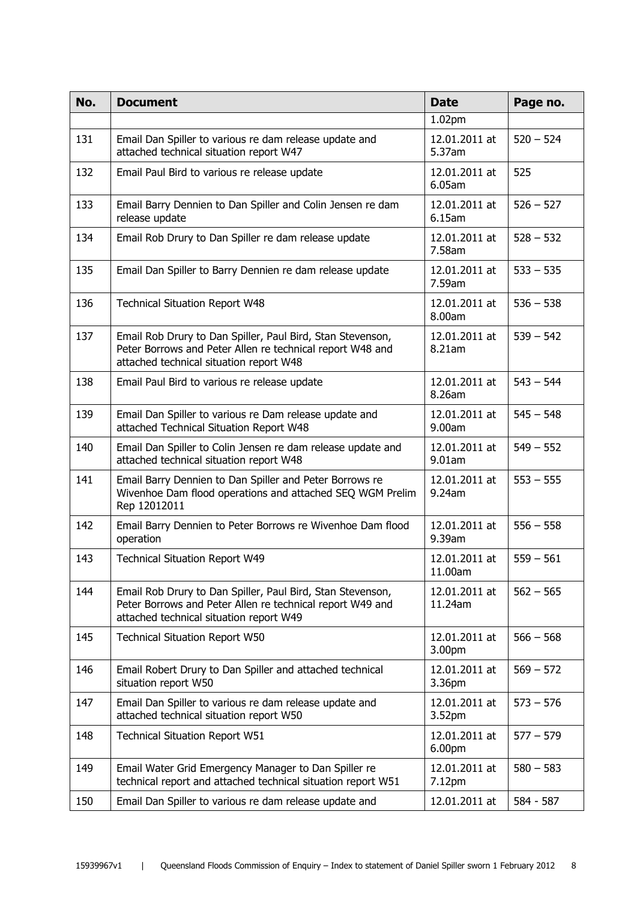| No. | <b>Document</b>                                                                                                                                                    | <b>Date</b>              | Page no.    |
|-----|--------------------------------------------------------------------------------------------------------------------------------------------------------------------|--------------------------|-------------|
|     |                                                                                                                                                                    | 1.02 <sub>pm</sub>       |             |
| 131 | Email Dan Spiller to various re dam release update and<br>attached technical situation report W47                                                                  | 12.01.2011 at<br>5.37am  | $520 - 524$ |
| 132 | Email Paul Bird to various re release update                                                                                                                       | 12.01.2011 at<br>6.05am  | 525         |
| 133 | Email Barry Dennien to Dan Spiller and Colin Jensen re dam<br>release update                                                                                       | 12.01.2011 at<br>6.15am  | $526 - 527$ |
| 134 | Email Rob Drury to Dan Spiller re dam release update                                                                                                               | 12.01.2011 at<br>7.58am  | $528 - 532$ |
| 135 | Email Dan Spiller to Barry Dennien re dam release update                                                                                                           | 12.01.2011 at<br>7.59am  | $533 - 535$ |
| 136 | <b>Technical Situation Report W48</b>                                                                                                                              | 12.01.2011 at<br>8.00am  | $536 - 538$ |
| 137 | Email Rob Drury to Dan Spiller, Paul Bird, Stan Stevenson,<br>Peter Borrows and Peter Allen re technical report W48 and<br>attached technical situation report W48 | 12.01.2011 at<br>8.21am  | $539 - 542$ |
| 138 | Email Paul Bird to various re release update                                                                                                                       | 12.01.2011 at<br>8.26am  | $543 - 544$ |
| 139 | Email Dan Spiller to various re Dam release update and<br>attached Technical Situation Report W48                                                                  | 12.01.2011 at<br>9.00am  | $545 - 548$ |
| 140 | Email Dan Spiller to Colin Jensen re dam release update and<br>attached technical situation report W48                                                             | 12.01.2011 at<br>9.01am  | $549 - 552$ |
| 141 | Email Barry Dennien to Dan Spiller and Peter Borrows re<br>Wivenhoe Dam flood operations and attached SEQ WGM Prelim<br>Rep 12012011                               | 12.01.2011 at<br>9.24am  | $553 - 555$ |
| 142 | Email Barry Dennien to Peter Borrows re Wivenhoe Dam flood<br>operation                                                                                            | 12.01.2011 at<br>9.39am  | $556 - 558$ |
| 143 | <b>Technical Situation Report W49</b>                                                                                                                              | 12.01.2011 at<br>11.00am | $559 - 561$ |
| 144 | Email Rob Drury to Dan Spiller, Paul Bird, Stan Stevenson,<br>Peter Borrows and Peter Allen re technical report W49 and<br>attached technical situation report W49 | 12.01.2011 at<br>11.24am | $562 - 565$ |
| 145 | <b>Technical Situation Report W50</b>                                                                                                                              | 12.01.2011 at<br>3.00pm  | $566 - 568$ |
| 146 | Email Robert Drury to Dan Spiller and attached technical<br>situation report W50                                                                                   | 12.01.2011 at<br>3.36pm  | $569 - 572$ |
| 147 | Email Dan Spiller to various re dam release update and<br>attached technical situation report W50                                                                  | 12.01.2011 at<br>3.52pm  | $573 - 576$ |
| 148 | <b>Technical Situation Report W51</b>                                                                                                                              | 12.01.2011 at<br>6.00pm  | $577 - 579$ |
| 149 | Email Water Grid Emergency Manager to Dan Spiller re<br>technical report and attached technical situation report W51                                               | 12.01.2011 at<br>7.12pm  | $580 - 583$ |
| 150 | Email Dan Spiller to various re dam release update and                                                                                                             | 12.01.2011 at            | 584 - 587   |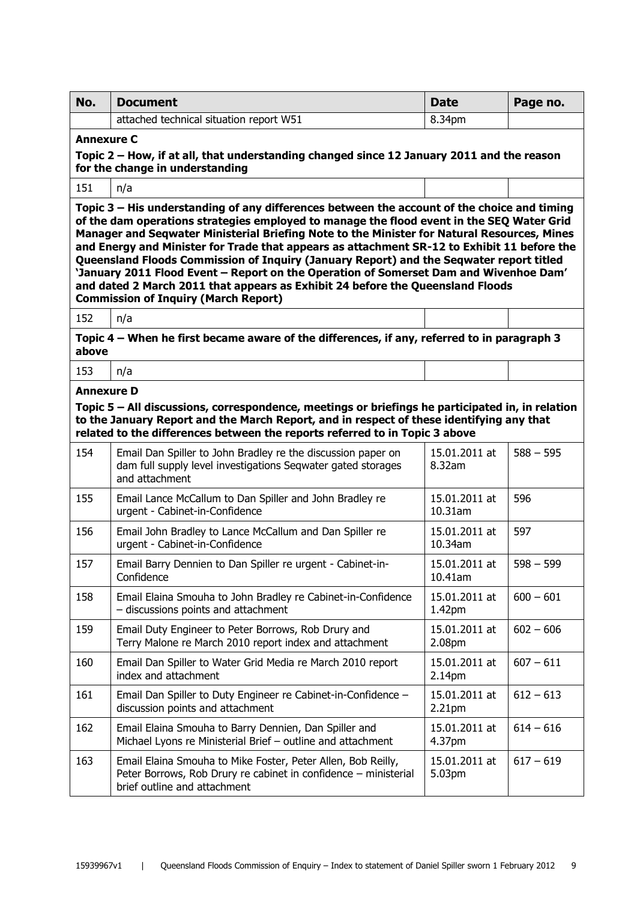| No.                                                                                                                                                                                                                                                                                                                                                                                                                                                                                                                                                                                                                                                                                                         | <b>Document</b>                                                                                                                                                                                                                                                             | <b>Date</b>                         | Page no.    |  |  |  |  |
|-------------------------------------------------------------------------------------------------------------------------------------------------------------------------------------------------------------------------------------------------------------------------------------------------------------------------------------------------------------------------------------------------------------------------------------------------------------------------------------------------------------------------------------------------------------------------------------------------------------------------------------------------------------------------------------------------------------|-----------------------------------------------------------------------------------------------------------------------------------------------------------------------------------------------------------------------------------------------------------------------------|-------------------------------------|-------------|--|--|--|--|
|                                                                                                                                                                                                                                                                                                                                                                                                                                                                                                                                                                                                                                                                                                             | attached technical situation report W51                                                                                                                                                                                                                                     | 8.34pm                              |             |  |  |  |  |
| <b>Annexure C</b><br>Topic 2 - How, if at all, that understanding changed since 12 January 2011 and the reason<br>for the change in understanding                                                                                                                                                                                                                                                                                                                                                                                                                                                                                                                                                           |                                                                                                                                                                                                                                                                             |                                     |             |  |  |  |  |
| 151                                                                                                                                                                                                                                                                                                                                                                                                                                                                                                                                                                                                                                                                                                         | n/a                                                                                                                                                                                                                                                                         |                                     |             |  |  |  |  |
| Topic 3 - His understanding of any differences between the account of the choice and timing<br>of the dam operations strategies employed to manage the flood event in the SEQ Water Grid<br>Manager and Seqwater Ministerial Briefing Note to the Minister for Natural Resources, Mines<br>and Energy and Minister for Trade that appears as attachment SR-12 to Exhibit 11 before the<br>Queensland Floods Commission of Inquiry (January Report) and the Seqwater report titled<br>'January 2011 Flood Event - Report on the Operation of Somerset Dam and Wivenhoe Dam'<br>and dated 2 March 2011 that appears as Exhibit 24 before the Queensland Floods<br><b>Commission of Inquiry (March Report)</b> |                                                                                                                                                                                                                                                                             |                                     |             |  |  |  |  |
| 152                                                                                                                                                                                                                                                                                                                                                                                                                                                                                                                                                                                                                                                                                                         | n/a                                                                                                                                                                                                                                                                         |                                     |             |  |  |  |  |
| above                                                                                                                                                                                                                                                                                                                                                                                                                                                                                                                                                                                                                                                                                                       | Topic 4 - When he first became aware of the differences, if any, referred to in paragraph 3                                                                                                                                                                                 |                                     |             |  |  |  |  |
| 153                                                                                                                                                                                                                                                                                                                                                                                                                                                                                                                                                                                                                                                                                                         | n/a                                                                                                                                                                                                                                                                         |                                     |             |  |  |  |  |
| <b>Annexure D</b>                                                                                                                                                                                                                                                                                                                                                                                                                                                                                                                                                                                                                                                                                           |                                                                                                                                                                                                                                                                             |                                     |             |  |  |  |  |
|                                                                                                                                                                                                                                                                                                                                                                                                                                                                                                                                                                                                                                                                                                             | Topic 5 – All discussions, correspondence, meetings or briefings he participated in, in relation<br>to the January Report and the March Report, and in respect of these identifying any that<br>related to the differences between the reports referred to in Topic 3 above |                                     |             |  |  |  |  |
| 154                                                                                                                                                                                                                                                                                                                                                                                                                                                                                                                                                                                                                                                                                                         | Email Dan Spiller to John Bradley re the discussion paper on<br>dam full supply level investigations Seqwater gated storages<br>and attachment                                                                                                                              | 15.01.2011 at<br>8.32am             | $588 - 595$ |  |  |  |  |
| 155                                                                                                                                                                                                                                                                                                                                                                                                                                                                                                                                                                                                                                                                                                         | Email Lance McCallum to Dan Spiller and John Bradley re<br>urgent - Cabinet-in-Confidence                                                                                                                                                                                   | 15.01.2011 at<br>10.31am            | 596         |  |  |  |  |
| 156                                                                                                                                                                                                                                                                                                                                                                                                                                                                                                                                                                                                                                                                                                         | Email John Bradley to Lance McCallum and Dan Spiller re<br>urgent - Cabinet-in-Confidence                                                                                                                                                                                   | 15.01.2011 at<br>10.34am            | 597         |  |  |  |  |
| 157                                                                                                                                                                                                                                                                                                                                                                                                                                                                                                                                                                                                                                                                                                         | Email Barry Dennien to Dan Spiller re urgent - Cabinet-in-<br>Confidence                                                                                                                                                                                                    | 15.01.2011 at<br>10.41am            | $598 - 599$ |  |  |  |  |
| 158                                                                                                                                                                                                                                                                                                                                                                                                                                                                                                                                                                                                                                                                                                         | Email Elaina Smouha to John Bradley re Cabinet-in-Confidence<br>- discussions points and attachment                                                                                                                                                                         | 15.01.2011 at<br>1.42pm             | $600 - 601$ |  |  |  |  |
| 159                                                                                                                                                                                                                                                                                                                                                                                                                                                                                                                                                                                                                                                                                                         | Email Duty Engineer to Peter Borrows, Rob Drury and<br>Terry Malone re March 2010 report index and attachment                                                                                                                                                               | 15.01.2011 at<br>2.08pm             | $602 - 606$ |  |  |  |  |
| 160                                                                                                                                                                                                                                                                                                                                                                                                                                                                                                                                                                                                                                                                                                         | Email Dan Spiller to Water Grid Media re March 2010 report<br>index and attachment                                                                                                                                                                                          | 15.01.2011 at<br>2.14 <sub>pm</sub> | $607 - 611$ |  |  |  |  |
| 161                                                                                                                                                                                                                                                                                                                                                                                                                                                                                                                                                                                                                                                                                                         | Email Dan Spiller to Duty Engineer re Cabinet-in-Confidence -<br>discussion points and attachment                                                                                                                                                                           | 15.01.2011 at<br>2.21 <sub>pm</sub> | $612 - 613$ |  |  |  |  |
| 162                                                                                                                                                                                                                                                                                                                                                                                                                                                                                                                                                                                                                                                                                                         | Email Elaina Smouha to Barry Dennien, Dan Spiller and<br>Michael Lyons re Ministerial Brief - outline and attachment                                                                                                                                                        | 15.01.2011 at<br>4.37pm             | $614 - 616$ |  |  |  |  |
| 163                                                                                                                                                                                                                                                                                                                                                                                                                                                                                                                                                                                                                                                                                                         | Email Elaina Smouha to Mike Foster, Peter Allen, Bob Reilly,<br>Peter Borrows, Rob Drury re cabinet in confidence - ministerial<br>brief outline and attachment                                                                                                             | 15.01.2011 at<br>5.03pm             | $617 - 619$ |  |  |  |  |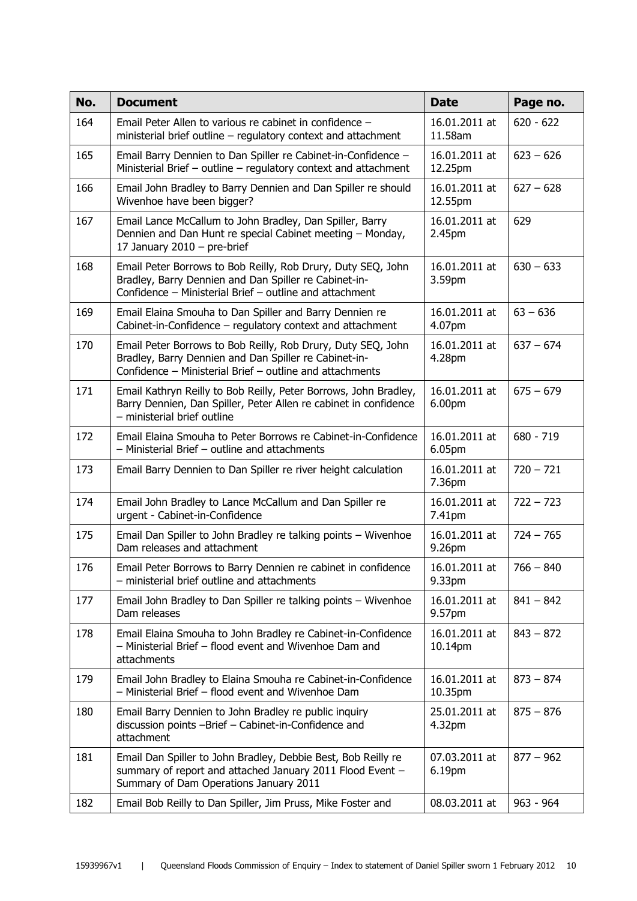| No. | <b>Document</b>                                                                                                                                                                   | <b>Date</b>              | Page no.    |
|-----|-----------------------------------------------------------------------------------------------------------------------------------------------------------------------------------|--------------------------|-------------|
| 164 | Email Peter Allen to various re cabinet in confidence -<br>ministerial brief outline - regulatory context and attachment                                                          | 16.01.2011 at<br>11.58am | $620 - 622$ |
| 165 | Email Barry Dennien to Dan Spiller re Cabinet-in-Confidence -<br>Ministerial Brief - outline - regulatory context and attachment                                                  | 16.01.2011 at<br>12.25pm | $623 - 626$ |
| 166 | Email John Bradley to Barry Dennien and Dan Spiller re should<br>Wivenhoe have been bigger?                                                                                       | 16.01.2011 at<br>12.55pm | $627 - 628$ |
| 167 | Email Lance McCallum to John Bradley, Dan Spiller, Barry<br>Dennien and Dan Hunt re special Cabinet meeting - Monday,<br>17 January 2010 - pre-brief                              | 16.01.2011 at<br>2.45pm  | 629         |
| 168 | Email Peter Borrows to Bob Reilly, Rob Drury, Duty SEQ, John<br>Bradley, Barry Dennien and Dan Spiller re Cabinet-in-<br>Confidence - Ministerial Brief - outline and attachment  | 16.01.2011 at<br>3.59pm  | $630 - 633$ |
| 169 | Email Elaina Smouha to Dan Spiller and Barry Dennien re<br>Cabinet-in-Confidence – regulatory context and attachment                                                              | 16.01.2011 at<br>4.07pm  | $63 - 636$  |
| 170 | Email Peter Borrows to Bob Reilly, Rob Drury, Duty SEQ, John<br>Bradley, Barry Dennien and Dan Spiller re Cabinet-in-<br>Confidence - Ministerial Brief - outline and attachments | 16.01.2011 at<br>4.28pm  | $637 - 674$ |
| 171 | Email Kathryn Reilly to Bob Reilly, Peter Borrows, John Bradley,<br>Barry Dennien, Dan Spiller, Peter Allen re cabinet in confidence<br>- ministerial brief outline               | 16.01.2011 at<br>6.00pm  | $675 - 679$ |
| 172 | Email Elaina Smouha to Peter Borrows re Cabinet-in-Confidence<br>- Ministerial Brief - outline and attachments                                                                    | 16.01.2011 at<br>6.05pm  | $680 - 719$ |
| 173 | Email Barry Dennien to Dan Spiller re river height calculation                                                                                                                    | 16.01.2011 at<br>7.36pm  | $720 - 721$ |
| 174 | Email John Bradley to Lance McCallum and Dan Spiller re<br>urgent - Cabinet-in-Confidence                                                                                         | 16.01.2011 at<br>7.41pm  | $722 - 723$ |
| 175 | Email Dan Spiller to John Bradley re talking points - Wivenhoe<br>Dam releases and attachment                                                                                     | 16.01.2011 at<br>9.26pm  | $724 - 765$ |
| 176 | Email Peter Borrows to Barry Dennien re cabinet in confidence<br>- ministerial brief outline and attachments                                                                      | 16.01.2011 at<br>9.33pm  | $766 - 840$ |
| 177 | Email John Bradley to Dan Spiller re talking points - Wivenhoe<br>Dam releases                                                                                                    | 16.01.2011 at<br>9.57pm  | $841 - 842$ |
| 178 | Email Elaina Smouha to John Bradley re Cabinet-in-Confidence<br>- Ministerial Brief - flood event and Wivenhoe Dam and<br>attachments                                             | 16.01.2011 at<br>10.14pm | $843 - 872$ |
| 179 | Email John Bradley to Elaina Smouha re Cabinet-in-Confidence<br>- Ministerial Brief - flood event and Wivenhoe Dam                                                                | 16.01.2011 at<br>10.35pm | $873 - 874$ |
| 180 | Email Barry Dennien to John Bradley re public inquiry<br>discussion points -Brief - Cabinet-in-Confidence and<br>attachment                                                       | 25.01.2011 at<br>4.32pm  | $875 - 876$ |
| 181 | Email Dan Spiller to John Bradley, Debbie Best, Bob Reilly re<br>summary of report and attached January 2011 Flood Event -<br>Summary of Dam Operations January 2011              | 07.03.2011 at<br>6.19pm  | $877 - 962$ |
| 182 | Email Bob Reilly to Dan Spiller, Jim Pruss, Mike Foster and                                                                                                                       | 08.03.2011 at            | $963 - 964$ |